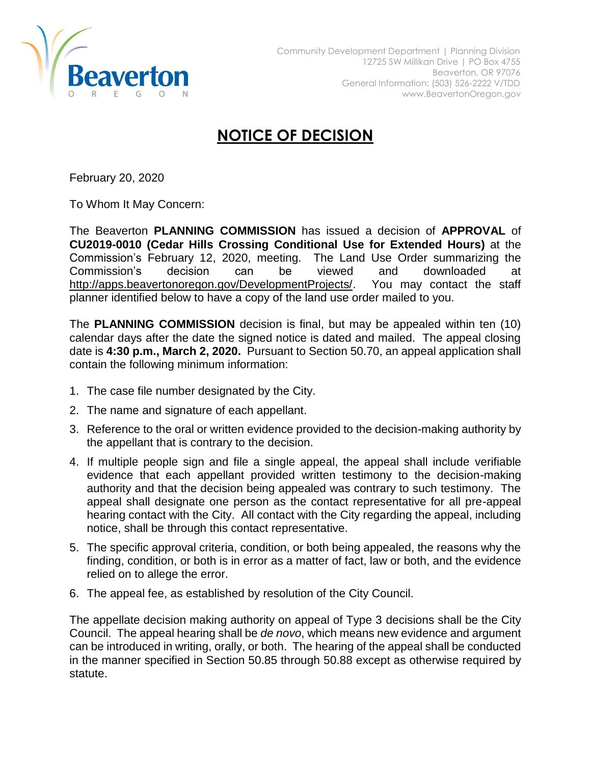

## **NOTICE OF DECISION**

February 20, 2020

To Whom It May Concern:

The Beaverton **PLANNING COMMISSION** has issued a decision of **APPROVAL** of **CU2019-0010 (Cedar Hills Crossing Conditional Use for Extended Hours)** at the Commission's February 12, 2020, meeting. The Land Use Order summarizing the Commission's decision can be viewed and downloaded at [http://apps.beavertonoregon.gov/DevelopmentProjects/.](http://apps.beavertonoregon.gov/DevelopmentProjects/) You may contact the staff planner identified below to have a copy of the land use order mailed to you.

The **PLANNING COMMISSION** decision is final, but may be appealed within ten (10) calendar days after the date the signed notice is dated and mailed. The appeal closing date is **4:30 p.m., March 2, 2020.** Pursuant to Section 50.70, an appeal application shall contain the following minimum information:

- 1. The case file number designated by the City.
- 2. The name and signature of each appellant.
- 3. Reference to the oral or written evidence provided to the decision-making authority by the appellant that is contrary to the decision.
- 4. If multiple people sign and file a single appeal, the appeal shall include verifiable evidence that each appellant provided written testimony to the decision-making authority and that the decision being appealed was contrary to such testimony. The appeal shall designate one person as the contact representative for all pre-appeal hearing contact with the City. All contact with the City regarding the appeal, including notice, shall be through this contact representative.
- 5. The specific approval criteria, condition, or both being appealed, the reasons why the finding, condition, or both is in error as a matter of fact, law or both, and the evidence relied on to allege the error.
- 6. The appeal fee, as established by resolution of the City Council.

The appellate decision making authority on appeal of Type 3 decisions shall be the City Council. The appeal hearing shall be *de novo*, which means new evidence and argument can be introduced in writing, orally, or both. The hearing of the appeal shall be conducted in the manner specified in Section 50.85 through 50.88 except as otherwise required by statute.